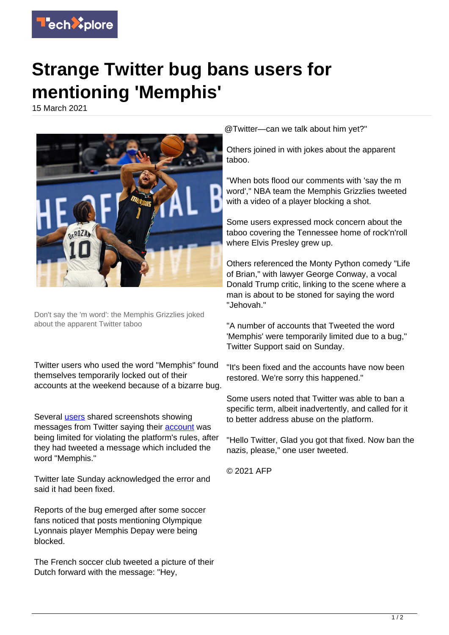

## **Strange Twitter bug bans users for mentioning 'Memphis'**

15 March 2021



Don't say the 'm word': the Memphis Grizzlies joked about the apparent Twitter taboo

Twitter users who used the word "Memphis" found themselves temporarily locked out of their accounts at the weekend because of a bizarre bug.

Several [users](https://techxplore.com/tags/users/) shared screenshots showing messages from Twitter saving their [account](https://techxplore.com/tags/account/) was being limited for violating the platform's rules, after they had tweeted a message which included the word "Memphis."

Twitter late Sunday acknowledged the error and said it had been fixed.

Reports of the bug emerged after some soccer fans noticed that posts mentioning Olympique Lyonnais player Memphis Depay were being blocked.

The French soccer club tweeted a picture of their Dutch forward with the message: "Hey,

@Twitter—can we talk about him yet?"

Others joined in with jokes about the apparent taboo.

"When bots flood our comments with 'say the m word'," NBA team the Memphis Grizzlies tweeted with a video of a player blocking a shot.

Some users expressed mock concern about the taboo covering the Tennessee home of rock'n'roll where Elvis Presley grew up.

Others referenced the Monty Python comedy "Life of Brian," with lawyer George Conway, a vocal Donald Trump critic, linking to the scene where a man is about to be stoned for saying the word "Jehovah."

"A number of accounts that Tweeted the word 'Memphis' were temporarily limited due to a bug," Twitter Support said on Sunday.

"It's been fixed and the accounts have now been restored. We're sorry this happened."

Some users noted that Twitter was able to ban a specific term, albeit inadvertently, and called for it to better address abuse on the platform.

"Hello Twitter, Glad you got that fixed. Now ban the nazis, please," one user tweeted.

© 2021 AFP